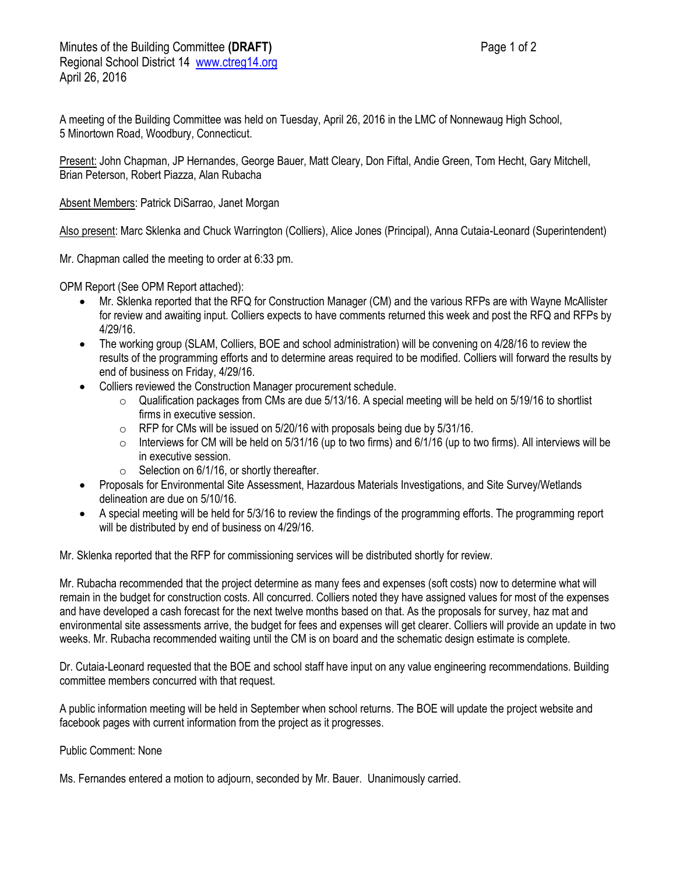A meeting of the Building Committee was held on Tuesday, April 26, 2016 in the LMC of Nonnewaug High School, 5 Minortown Road, Woodbury, Connecticut.

Present: John Chapman, JP Hernandes, George Bauer, Matt Cleary, Don Fiftal, Andie Green, Tom Hecht, Gary Mitchell, Brian Peterson, Robert Piazza, Alan Rubacha

Absent Members: Patrick DiSarrao, Janet Morgan

Also present: Marc Sklenka and Chuck Warrington (Colliers), Alice Jones (Principal), Anna Cutaia-Leonard (Superintendent)

Mr. Chapman called the meeting to order at 6:33 pm.

OPM Report (See OPM Report attached):

- Mr. Sklenka reported that the RFQ for Construction Manager (CM) and the various RFPs are with Wayne McAllister for review and awaiting input. Colliers expects to have comments returned this week and post the RFQ and RFPs by 4/29/16.
- The working group (SLAM, Colliers, BOE and school administration) will be convening on 4/28/16 to review the results of the programming efforts and to determine areas required to be modified. Colliers will forward the results by end of business on Friday, 4/29/16.
- Colliers reviewed the Construction Manager procurement schedule.
	- o Qualification packages from CMs are due 5/13/16. A special meeting will be held on 5/19/16 to shortlist firms in executive session.
	- $\circ$  RFP for CMs will be issued on 5/20/16 with proposals being due by 5/31/16.
	- $\circ$  Interviews for CM will be held on 5/31/16 (up to two firms) and 6/1/16 (up to two firms). All interviews will be in executive session.
	- $\circ$  Selection on 6/1/16, or shortly thereafter.
- Proposals for Environmental Site Assessment, Hazardous Materials Investigations, and Site Survey/Wetlands delineation are due on 5/10/16.
- A special meeting will be held for 5/3/16 to review the findings of the programming efforts. The programming report will be distributed by end of business on 4/29/16.

Mr. Sklenka reported that the RFP for commissioning services will be distributed shortly for review.

Mr. Rubacha recommended that the project determine as many fees and expenses (soft costs) now to determine what will remain in the budget for construction costs. All concurred. Colliers noted they have assigned values for most of the expenses and have developed a cash forecast for the next twelve months based on that. As the proposals for survey, haz mat and environmental site assessments arrive, the budget for fees and expenses will get clearer. Colliers will provide an update in two weeks. Mr. Rubacha recommended waiting until the CM is on board and the schematic design estimate is complete.

Dr. Cutaia-Leonard requested that the BOE and school staff have input on any value engineering recommendations. Building committee members concurred with that request.

A public information meeting will be held in September when school returns. The BOE will update the project website and facebook pages with current information from the project as it progresses.

Public Comment: None

Ms. Fernandes entered a motion to adjourn, seconded by Mr. Bauer. Unanimously carried.